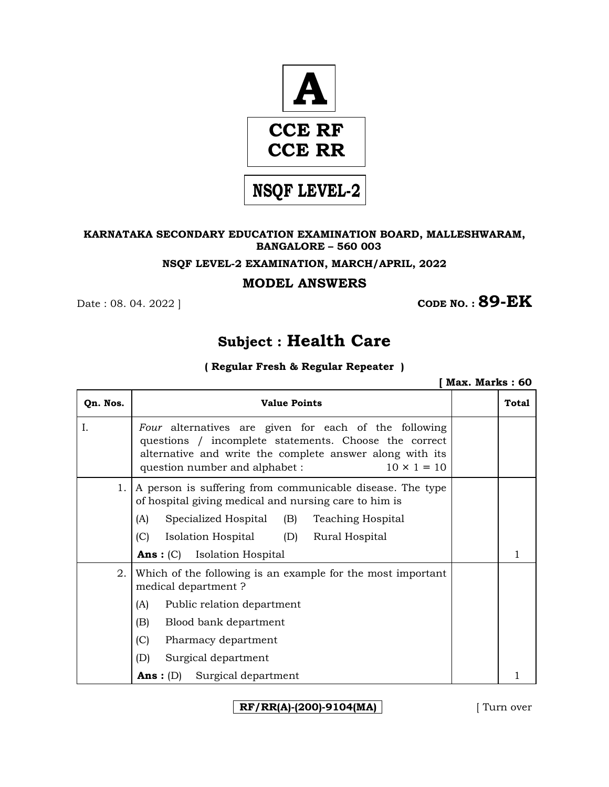

### **KARNATAKA SECONDARY EDUCATION EXAMINATION BOARD, MALLESHWARAM, BANGALORE – 560 003**

### **NSQF LEVEL-2 EXAMINATION, MARCH/APRIL, 2022**

### **MODEL ANSWERS**

**CODE NO. : 89-EK** 

# **Subject : Health Care**

### **( Regular Fresh & Regular Repeater )**

 **[ Max. Marks : 60** 

| Qn. Nos. | <b>Value Points</b>                                                                                                                                                                                                                                                      | Total |
|----------|--------------------------------------------------------------------------------------------------------------------------------------------------------------------------------------------------------------------------------------------------------------------------|-------|
| Ι.       | Four alternatives are given for each of the following<br>questions / incomplete statements. Choose the correct<br>alternative and write the complete answer along with its<br>$10 \times 1 = 10$<br>question number and alphabet :                                       |       |
| 1.       | A person is suffering from communicable disease. The type<br>of hospital giving medical and nursing care to him is<br>Specialized Hospital (B)<br>(A)<br><b>Teaching Hospital</b><br>(C)<br>Isolation Hospital (D) Rural Hospital<br><b>Ans</b> : (C) Isolation Hospital |       |
| 2.       | Which of the following is an example for the most important<br>medical department?<br>Public relation department<br>(A)<br>(B)<br>Blood bank department<br>(C)<br>Pharmacy department<br>(D)<br>Surgical department<br><b>Ans:</b> (D) Surgical department               |       |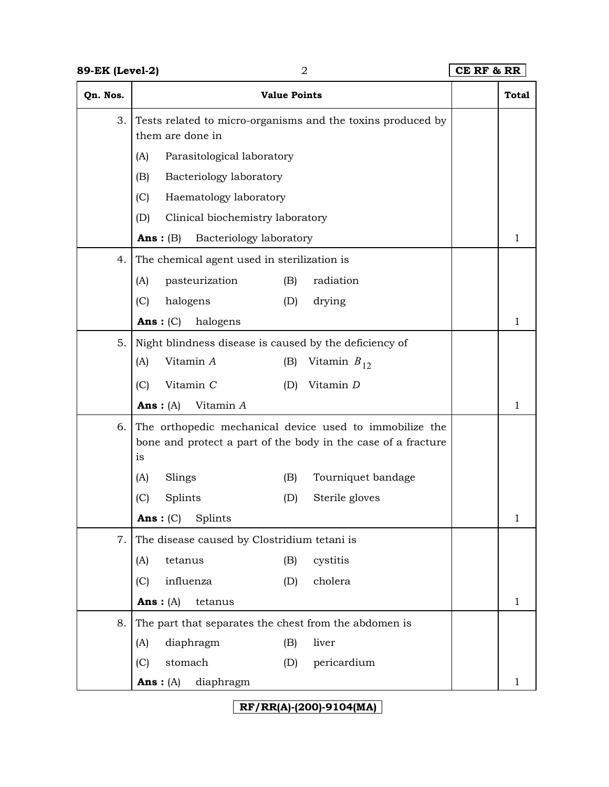| 89-EK (Level-2) | $\overline{2}$                                                                                                                 | CE RF & RR |              |
|-----------------|--------------------------------------------------------------------------------------------------------------------------------|------------|--------------|
| Qn. Nos.        | <b>Value Points</b>                                                                                                            |            | <b>Total</b> |
| 3.              | Tests related to micro-organisms and the toxins produced by<br>them are done in                                                |            |              |
|                 | Parasitological laboratory<br>(A)                                                                                              |            |              |
|                 | (B)<br>Bacteriology laboratory                                                                                                 |            |              |
|                 | (C)<br>Haematology laboratory                                                                                                  |            |              |
|                 | Clinical biochemistry laboratory<br>(D)                                                                                        |            |              |
|                 | Bacteriology laboratory<br>Ans: $(B)$                                                                                          |            | 1            |
| 4.              | The chemical agent used in sterilization is                                                                                    |            |              |
|                 | pasteurization<br>radiation<br>(A)<br>(B)                                                                                      |            |              |
|                 | (C)<br>halogens<br>(D)<br>drying                                                                                               |            |              |
|                 | Ans: $(C)$<br>halogens                                                                                                         |            | 1            |
| 5.              | Night blindness disease is caused by the deficiency of                                                                         |            |              |
|                 | Vitamin A<br>(A)<br>Vitamin $B_{12}$<br>(B)                                                                                    |            |              |
|                 | (C)<br>Vitamin C<br>Vitamin D<br>(D)                                                                                           |            |              |
|                 | Vitamin A<br>Ans: $(A)$                                                                                                        |            | 1            |
| 6.              | The orthopedic mechanical device used to immobilize the<br>bone and protect a part of the body in the case of a fracture<br>is |            |              |
|                 | Slings<br>Tourniquet bandage<br>(B)<br>(A)                                                                                     |            |              |
|                 | (C)<br>Splints<br>Sterile gloves<br>(D)                                                                                        |            |              |
|                 | Ans: (C)<br>Splints                                                                                                            |            | 1            |
| 7.              | The disease caused by Clostridium tetani is                                                                                    |            |              |
|                 | tetanus<br>cystitis<br>(A)<br>(B)                                                                                              |            |              |
|                 | influenza<br>(C)<br>cholera<br>(D)                                                                                             |            |              |
|                 | Ans: $(A)$<br>tetanus                                                                                                          |            | 1            |
| 8.              | The part that separates the chest from the abdomen is                                                                          |            |              |
|                 | diaphragm<br>liver<br>(A)<br>(B)                                                                                               |            |              |
|                 | stomach<br>pericardium<br>(C)<br>(D)                                                                                           |            |              |
|                 | $Ans: (A)$ diaphragm                                                                                                           |            |              |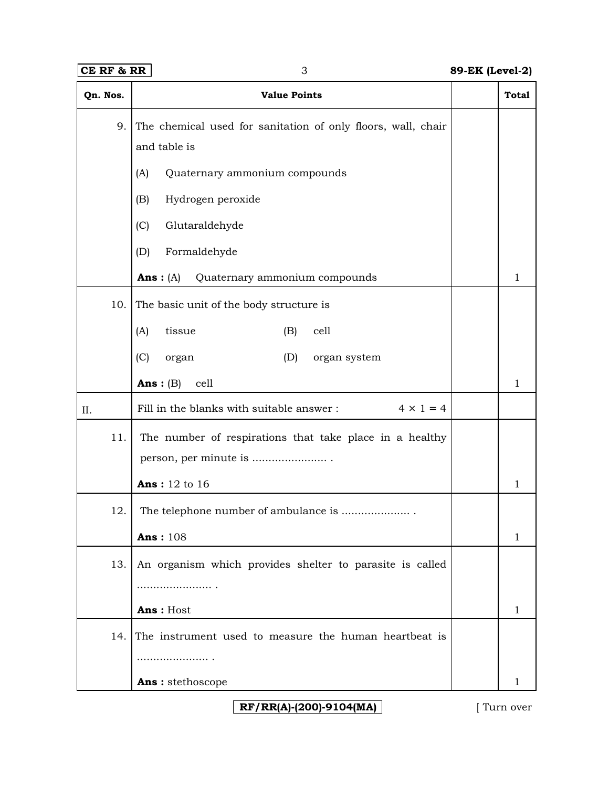# **CE RF & RR** 3 **89-EK (Level-2)**

| Qn. Nos. | <b>Value Points</b>                                          | <b>Total</b> |
|----------|--------------------------------------------------------------|--------------|
| 9.       | The chemical used for sanitation of only floors, wall, chair |              |
|          | and table is                                                 |              |
|          | Quaternary ammonium compounds<br>(A)                         |              |
|          | Hydrogen peroxide<br>(B)                                     |              |
|          | (C)<br>Glutaraldehyde                                        |              |
|          | Formaldehyde<br>(D)                                          |              |
|          | Quaternary ammonium compounds<br>Ans: $(A)$                  | 1            |
| 10.      | The basic unit of the body structure is                      |              |
|          | tissue<br>(B)<br>cell<br>(A)                                 |              |
|          | (C)<br>organ system<br>organ<br>(D)                          |              |
|          | Ans: $(B)$<br>cell                                           | 1            |
| II.      | $4 \times 1 = 4$<br>Fill in the blanks with suitable answer: |              |
| 11.      | The number of respirations that take place in a healthy      |              |
|          | person, per minute is                                        |              |
|          | <b>Ans:</b> 12 to 16                                         | $\mathbf{1}$ |
| 12.      | The telephone number of ambulance is                         |              |
|          | <b>Ans: 108</b>                                              | 1            |
| 13.      | An organism which provides shelter to parasite is called     |              |
|          | .                                                            |              |
|          | Ans: Host                                                    | 1            |
| 14.      | The instrument used to measure the human heartbeat is        |              |
|          |                                                              |              |
|          | Ans: stethoscope                                             |              |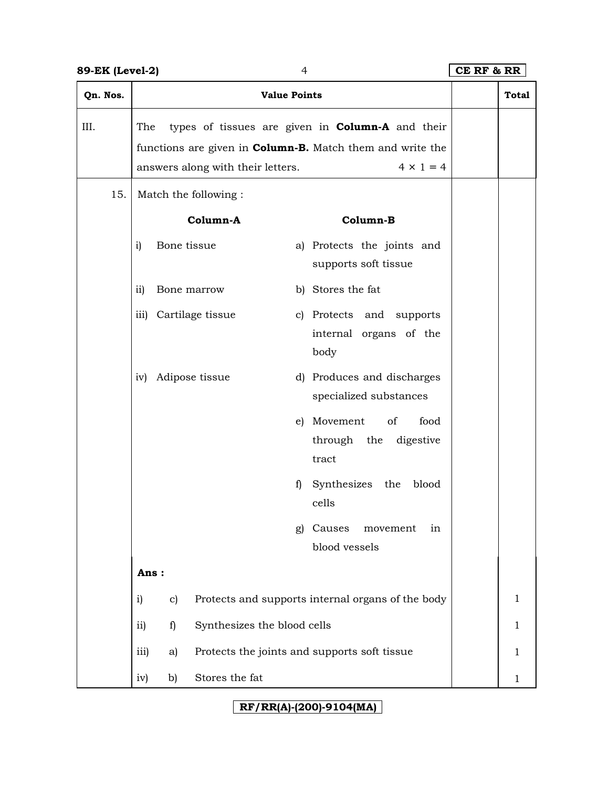# **89-EK (Level-2)** 4 **CE RF & RR**

| Qn. Nos. | <b>Value Points</b>                                                                                          |                                                                             | <b>Total</b> |
|----------|--------------------------------------------------------------------------------------------------------------|-----------------------------------------------------------------------------|--------------|
| III.     | The<br>functions are given in <b>Column-B.</b> Match them and write the<br>answers along with their letters. | types of tissues are given in <b>Column-A</b> and their<br>$4 \times 1 = 4$ |              |
| 15.      | Match the following :                                                                                        |                                                                             |              |
|          | Column-A                                                                                                     | Column-B                                                                    |              |
|          | Bone tissue<br>i)                                                                                            | a) Protects the joints and<br>supports soft tissue                          |              |
|          | ii)<br>Bone marrow                                                                                           | b) Stores the fat                                                           |              |
|          | iii) Cartilage tissue                                                                                        | c) Protects and supports<br>internal organs of the<br>body                  |              |
|          | Adipose tissue<br>iv)                                                                                        | d) Produces and discharges<br>specialized substances                        |              |
|          | e)                                                                                                           | Movement<br>of<br>food<br>through the digestive<br>tract                    |              |
|          | f)                                                                                                           | Synthesizes the<br>blood<br>cells                                           |              |
|          | g)                                                                                                           | Causes<br>movement<br>in<br>blood vessels                                   |              |
|          | Ans:                                                                                                         |                                                                             |              |
|          | $\mathbf{i}$<br>c)                                                                                           | Protects and supports internal organs of the body                           | $\mathbf{1}$ |
|          | ii)<br>Synthesizes the blood cells<br>f)                                                                     |                                                                             | $\mathbf{1}$ |
|          | iii)<br>Protects the joints and supports soft tissue<br>a)                                                   |                                                                             | $\mathbf{1}$ |
|          | Stores the fat<br>b)<br>iv)                                                                                  |                                                                             | $\mathbf{1}$ |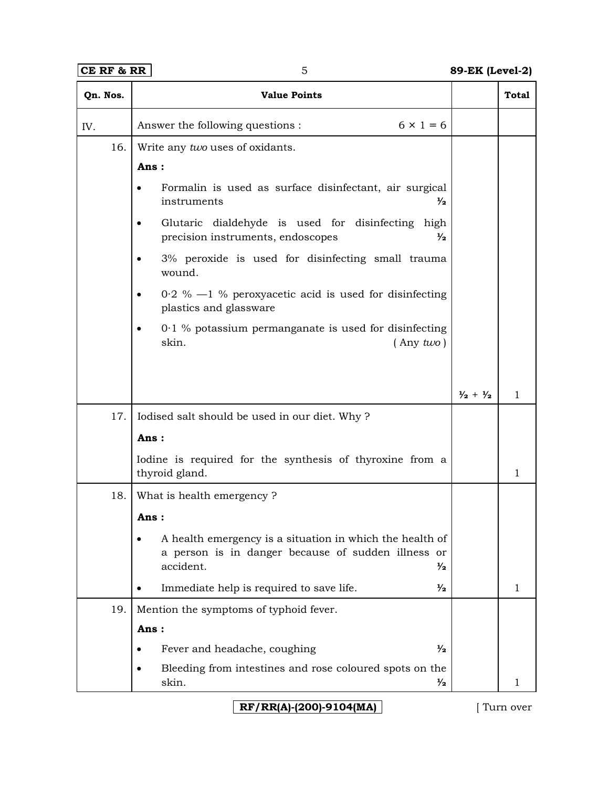| Qn. Nos. | <b>Value Points</b>                                                                                                                          |                             | <b>Total</b> |
|----------|----------------------------------------------------------------------------------------------------------------------------------------------|-----------------------------|--------------|
| IV.      | $6 \times 1 = 6$<br>Answer the following questions :                                                                                         |                             |              |
| 16.      | Write any two uses of oxidants.                                                                                                              |                             |              |
|          | Ans:                                                                                                                                         |                             |              |
|          | Formalin is used as surface disinfectant, air surgical<br>instruments<br>$\frac{1}{2}$                                                       |                             |              |
|          | Glutaric dialdehyde is used for disinfecting high<br>٠<br>precision instruments, endoscopes<br>$\frac{1}{2}$                                 |                             |              |
|          | 3% peroxide is used for disinfecting small trauma<br>wound.                                                                                  |                             |              |
|          | $0.2 \%$ —1 % peroxyacetic acid is used for disinfecting<br>plastics and glassware                                                           |                             |              |
|          | $0.1$ % potassium permanganate is used for disinfecting<br>skin.<br>$($ Any $two)$                                                           |                             |              |
|          |                                                                                                                                              | $\frac{1}{2} + \frac{1}{2}$ | $\mathbf{1}$ |
| 17.      | Iodised salt should be used in our diet. Why?                                                                                                |                             |              |
|          | Ans:                                                                                                                                         |                             |              |
|          | Iodine is required for the synthesis of thyroxine from a<br>thyroid gland.                                                                   |                             | 1            |
| 18.      | What is health emergency?                                                                                                                    |                             |              |
|          | Ans:                                                                                                                                         |                             |              |
|          | A health emergency is a situation in which the health of<br>a person is in danger because of sudden illness or<br>accident.<br>$\frac{1}{2}$ |                             |              |
|          | Immediate help is required to save life.<br>$\frac{1}{2}$                                                                                    |                             | 1            |
| 19.      | Mention the symptoms of typhoid fever.                                                                                                       |                             |              |
|          | Ans:                                                                                                                                         |                             |              |
|          | Fever and headache, coughing<br>$\frac{1}{2}$                                                                                                |                             |              |
|          | Bleeding from intestines and rose coloured spots on the<br>skin.<br>$\frac{1}{2}$                                                            |                             |              |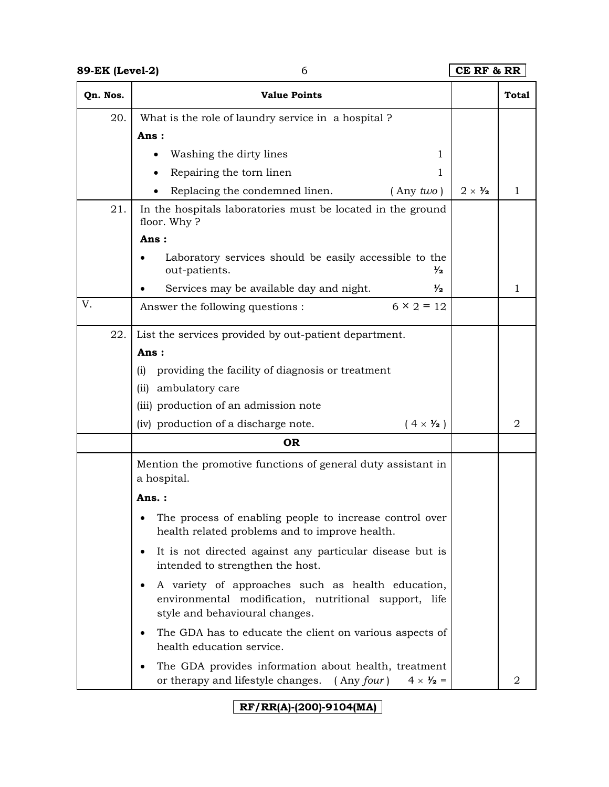| 89-EK (Level-2) | 6                                                                                                                                                | CE RF & RR             |              |
|-----------------|--------------------------------------------------------------------------------------------------------------------------------------------------|------------------------|--------------|
| Qn. Nos.        | <b>Value Points</b>                                                                                                                              |                        | <b>Total</b> |
| 20.             | What is the role of laundry service in a hospital?                                                                                               |                        |              |
|                 | Ans:                                                                                                                                             |                        |              |
|                 | Washing the dirty lines<br>1                                                                                                                     |                        |              |
|                 | Repairing the torn linen<br>1                                                                                                                    |                        |              |
|                 | Replacing the condemned linen.<br>$($ Any $two)$                                                                                                 | $2 \times \frac{1}{2}$ | $\mathbf{1}$ |
| 21.             | In the hospitals laboratories must be located in the ground<br>floor. Why?                                                                       |                        |              |
|                 | Ans:                                                                                                                                             |                        |              |
|                 | Laboratory services should be easily accessible to the<br>out-patients.<br>$\frac{1}{2}$                                                         |                        |              |
|                 | Services may be available day and night.<br>$\frac{1}{2}$                                                                                        |                        | $\mathbf{1}$ |
| V.              | $6 \times 2 = 12$<br>Answer the following questions :                                                                                            |                        |              |
| 22.             | List the services provided by out-patient department.                                                                                            |                        |              |
|                 | Ans:                                                                                                                                             |                        |              |
|                 | providing the facility of diagnosis or treatment<br>(i)                                                                                          |                        |              |
|                 | ambulatory care<br>(ii)                                                                                                                          |                        |              |
|                 | (iii) production of an admission note                                                                                                            |                        |              |
|                 | (iv) production of a discharge note.<br>$(4 \times \frac{1}{2})$                                                                                 |                        | 2            |
|                 | <b>OR</b>                                                                                                                                        |                        |              |
|                 | Mention the promotive functions of general duty assistant in<br>a hospital.                                                                      |                        |              |
|                 | Ans. :                                                                                                                                           |                        |              |
|                 | The process of enabling people to increase control over<br>health related problems and to improve health.                                        |                        |              |
|                 | It is not directed against any particular disease but is<br>٠<br>intended to strengthen the host.                                                |                        |              |
|                 | A variety of approaches such as health education,<br>environmental modification, nutritional support, life<br>style and behavioural changes.     |                        |              |
|                 | The GDA has to educate the client on various aspects of<br>٠<br>health education service.                                                        |                        |              |
|                 | The GDA provides information about health, treatment<br>or therapy and lifestyle changes.<br>$($ Any <i>four</i> $)$<br>$4 \times \frac{1}{2} =$ |                        | 2            |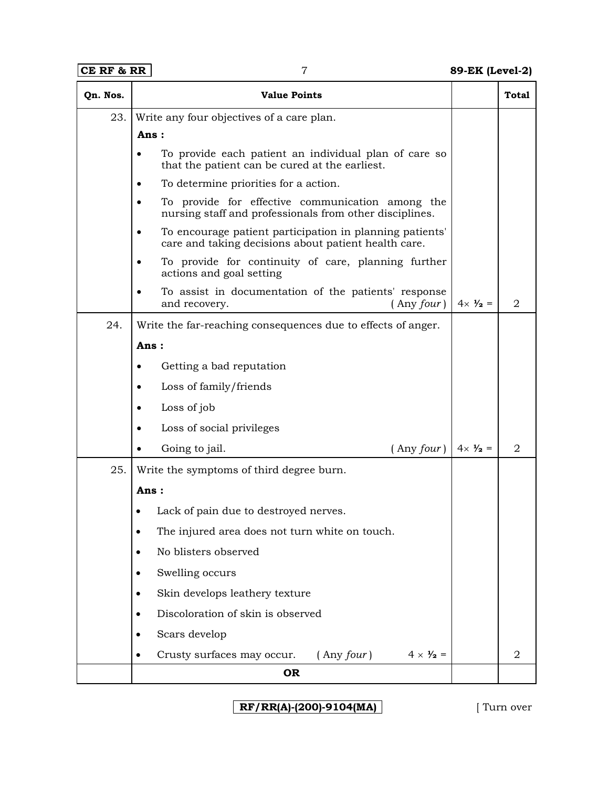| CE RF & RR | 7                                                                                                                             | 89-EK (Level-2)                              |              |
|------------|-------------------------------------------------------------------------------------------------------------------------------|----------------------------------------------|--------------|
| Qn. Nos.   | <b>Value Points</b>                                                                                                           |                                              | <b>Total</b> |
| 23.        | Write any four objectives of a care plan.                                                                                     |                                              |              |
|            | Ans:                                                                                                                          |                                              |              |
|            | To provide each patient an individual plan of care so<br>$\bullet$<br>that the patient can be cured at the earliest.          |                                              |              |
|            | To determine priorities for a action.<br>$\bullet$                                                                            |                                              |              |
|            | To provide for effective communication among the<br>$\bullet$<br>nursing staff and professionals from other disciplines.      |                                              |              |
|            | To encourage patient participation in planning patients'<br>$\bullet$<br>care and taking decisions about patient health care. |                                              |              |
|            | To provide for continuity of care, planning further<br>$\bullet$<br>actions and goal setting                                  |                                              |              |
|            | To assist in documentation of the patients' response<br>$\bullet$<br>and recovery.                                            | $4 \times \frac{1}{2} =$<br>$($ Any four $)$ | 2            |
| 24.        | Write the far-reaching consequences due to effects of anger.                                                                  |                                              |              |
|            | Ans:                                                                                                                          |                                              |              |
|            | Getting a bad reputation<br>$\bullet$                                                                                         |                                              |              |
|            | Loss of family/friends<br>$\bullet$                                                                                           |                                              |              |
|            | Loss of job<br>٠                                                                                                              |                                              |              |
|            | Loss of social privileges<br>$\bullet$                                                                                        |                                              |              |
|            | Going to jail.                                                                                                                | $($ Any four $)$<br>$4 \times \frac{1}{2} =$ | 2            |
| 25.        | Write the symptoms of third degree burn.                                                                                      |                                              |              |
|            | Ans :                                                                                                                         |                                              |              |
|            | Lack of pain due to destroyed nerves.                                                                                         |                                              |              |
|            | The injured area does not turn white on touch.                                                                                |                                              |              |
|            | No blisters observed<br>$\bullet$                                                                                             |                                              |              |
|            | Swelling occurs                                                                                                               |                                              |              |
|            | Skin develops leathery texture<br>٠                                                                                           |                                              |              |
|            | Discoloration of skin is observed<br>$\bullet$                                                                                |                                              |              |
|            | Scars develop<br>$\bullet$                                                                                                    |                                              |              |
|            | Crusty surfaces may occur.<br>$($ Any $four)$<br>$\bullet$                                                                    | $4 \times \frac{1}{2} =$                     | 2            |
|            | <b>OR</b>                                                                                                                     |                                              |              |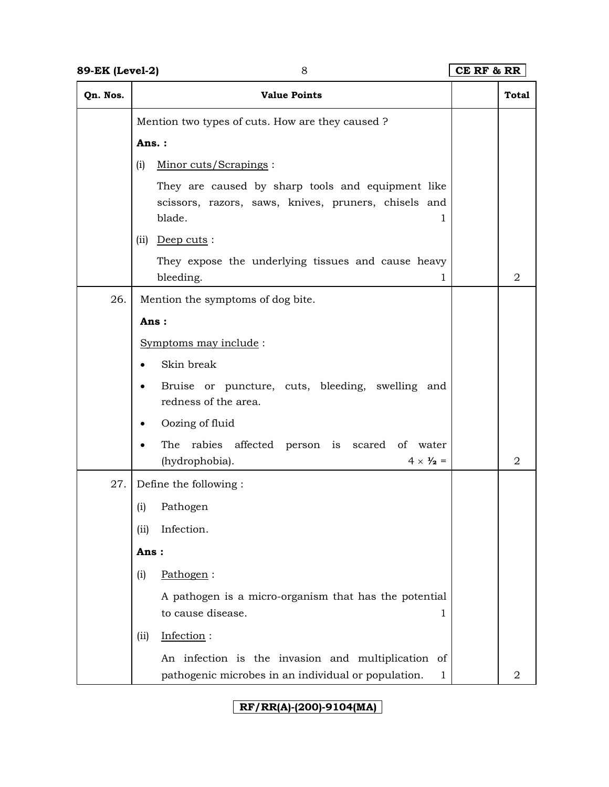| Qn. Nos. | <b>Value Points</b>                                                                                                      | <b>Total</b> |
|----------|--------------------------------------------------------------------------------------------------------------------------|--------------|
|          | Mention two types of cuts. How are they caused?                                                                          |              |
|          | Ans.:                                                                                                                    |              |
|          | (i)<br>Minor cuts/Scrapings:                                                                                             |              |
|          | They are caused by sharp tools and equipment like<br>scissors, razors, saws, knives, pruners, chisels and<br>blade.<br>1 |              |
|          | $(ii)$ Deep cuts:                                                                                                        |              |
|          | They expose the underlying tissues and cause heavy<br>bleeding.<br>1                                                     | 2            |
| 26.      | Mention the symptoms of dog bite.                                                                                        |              |
|          | Ans:                                                                                                                     |              |
|          | Symptoms may include:                                                                                                    |              |
|          | Skin break                                                                                                               |              |
|          | Bruise or puncture, cuts, bleeding, swelling and<br>redness of the area.                                                 |              |
|          | Oozing of fluid                                                                                                          |              |
|          | rabies affected person is scared of water<br>The<br>$4 \times \frac{1}{2}$ =<br>(hydrophobia).                           | 2            |
| 27.      | Define the following:                                                                                                    |              |
|          | Pathogen<br>(i)                                                                                                          |              |
|          | Infection.<br>(ii)                                                                                                       |              |
|          | Ans:                                                                                                                     |              |
|          | Pathogen:<br>(i)                                                                                                         |              |
|          | A pathogen is a micro-organism that has the potential<br>to cause disease.<br>1                                          |              |
|          | Infection:<br>(iii)                                                                                                      |              |
|          | An infection is the invasion and multiplication of<br>pathogenic microbes in an individual or population.<br>1           | 2            |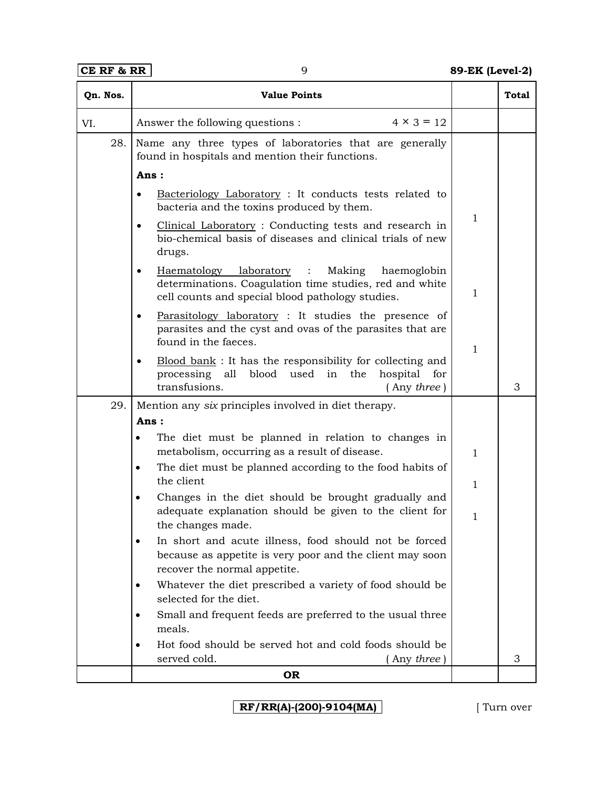| Qn. Nos. | <b>Value Points</b>                                                                                                                                                           |              | <b>Total</b> |
|----------|-------------------------------------------------------------------------------------------------------------------------------------------------------------------------------|--------------|--------------|
| VI.      | $4 \times 3 = 12$<br>Answer the following questions :                                                                                                                         |              |              |
| 28.      | Name any three types of laboratories that are generally<br>found in hospitals and mention their functions.                                                                    |              |              |
|          | Ans:                                                                                                                                                                          |              |              |
|          | Bacteriology Laboratory: It conducts tests related to<br>$\bullet$<br>bacteria and the toxins produced by them.                                                               |              |              |
|          | Clinical Laboratory: Conducting tests and research in<br>$\bullet$<br>bio-chemical basis of diseases and clinical trials of new<br>drugs.                                     | $\mathbf{1}$ |              |
|          | Haematology laboratory :<br>Making<br>haemoglobin<br>$\bullet$<br>determinations. Coagulation time studies, red and white<br>cell counts and special blood pathology studies. | 1            |              |
|          | Parasitology laboratory: It studies the presence of<br>$\bullet$<br>parasites and the cyst and ovas of the parasites that are<br>found in the faeces.                         | 1            |              |
|          | Blood bank: It has the responsibility for collecting and<br>$\bullet$<br>processing all blood used<br>in the<br>hospital<br>for<br>transfusions.<br>Any three)                |              | 3            |
| 29.      | Mention any six principles involved in diet therapy.                                                                                                                          |              |              |
|          | Ans:                                                                                                                                                                          |              |              |
|          | The diet must be planned in relation to changes in<br>metabolism, occurring as a result of disease.                                                                           | 1            |              |
|          | The diet must be planned according to the food habits of<br>$\bullet$                                                                                                         |              |              |
|          | the client<br>Changes in the diet should be brought gradually and<br>$\bullet$                                                                                                | 1            |              |
|          | adequate explanation should be given to the client for<br>the changes made.                                                                                                   | 1            |              |
|          | In short and acute illness, food should not be forced<br>because as appetite is very poor and the client may soon<br>recover the normal appetite.                             |              |              |
|          | Whatever the diet prescribed a variety of food should be<br>٠<br>selected for the diet.                                                                                       |              |              |
|          | Small and frequent feeds are preferred to the usual three<br>meals.                                                                                                           |              |              |
|          | Hot food should be served hot and cold foods should be<br>٠<br>served cold.<br>Any three)                                                                                     |              | 3            |
|          | <b>OR</b>                                                                                                                                                                     |              |              |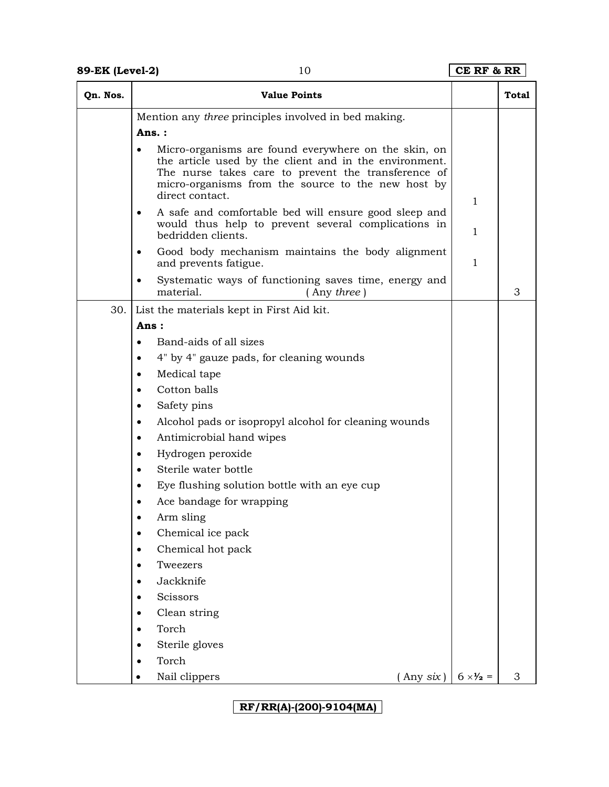| Qn. Nos. | <b>Value Points</b>                                                                                                                                                                                                                            |                          | <b>Total</b> |
|----------|------------------------------------------------------------------------------------------------------------------------------------------------------------------------------------------------------------------------------------------------|--------------------------|--------------|
|          | Mention any three principles involved in bed making.                                                                                                                                                                                           |                          |              |
|          | Ans.:                                                                                                                                                                                                                                          |                          |              |
|          | Micro-organisms are found everywhere on the skin, on<br>the article used by the client and in the environment.<br>The nurse takes care to prevent the transference of<br>micro-organisms from the source to the new host by<br>direct contact. | 1                        |              |
|          | A safe and comfortable bed will ensure good sleep and<br>٠<br>would thus help to prevent several complications in<br>bedridden clients.                                                                                                        | 1                        |              |
|          | Good body mechanism maintains the body alignment<br>and prevents fatigue.                                                                                                                                                                      | $\mathbf{1}$             |              |
|          | Systematic ways of functioning saves time, energy and<br>material.<br>(Any three)                                                                                                                                                              |                          | 3            |
| 30.      | List the materials kept in First Aid kit.                                                                                                                                                                                                      |                          |              |
|          | Ans:                                                                                                                                                                                                                                           |                          |              |
|          | Band-aids of all sizes<br>٠                                                                                                                                                                                                                    |                          |              |
|          | 4" by 4" gauze pads, for cleaning wounds                                                                                                                                                                                                       |                          |              |
|          | Medical tape<br>٠                                                                                                                                                                                                                              |                          |              |
|          | Cotton balls                                                                                                                                                                                                                                   |                          |              |
|          | Safety pins<br>٠                                                                                                                                                                                                                               |                          |              |
|          | Alcohol pads or isopropyl alcohol for cleaning wounds<br>$\bullet$                                                                                                                                                                             |                          |              |
|          | Antimicrobial hand wipes<br>$\bullet$                                                                                                                                                                                                          |                          |              |
|          | Hydrogen peroxide<br>٠                                                                                                                                                                                                                         |                          |              |
|          | Sterile water bottle<br>$\bullet$                                                                                                                                                                                                              |                          |              |
|          | Eye flushing solution bottle with an eye cup<br>٠                                                                                                                                                                                              |                          |              |
|          | Ace bandage for wrapping                                                                                                                                                                                                                       |                          |              |
|          | Arm sling                                                                                                                                                                                                                                      |                          |              |
|          | Chemical ice pack<br>$\bullet$                                                                                                                                                                                                                 |                          |              |
|          | Chemical hot pack<br>٠                                                                                                                                                                                                                         |                          |              |
|          | Tweezers                                                                                                                                                                                                                                       |                          |              |
|          | Jackknife                                                                                                                                                                                                                                      |                          |              |
|          | Scissors                                                                                                                                                                                                                                       |                          |              |
|          | Clean string                                                                                                                                                                                                                                   |                          |              |
|          | Torch                                                                                                                                                                                                                                          |                          |              |
|          | Sterile gloves                                                                                                                                                                                                                                 |                          |              |
|          | Torch                                                                                                                                                                                                                                          |                          |              |
|          | Nail clippers<br>[Any six]                                                                                                                                                                                                                     | $6 \times \frac{1}{2} =$ | 3            |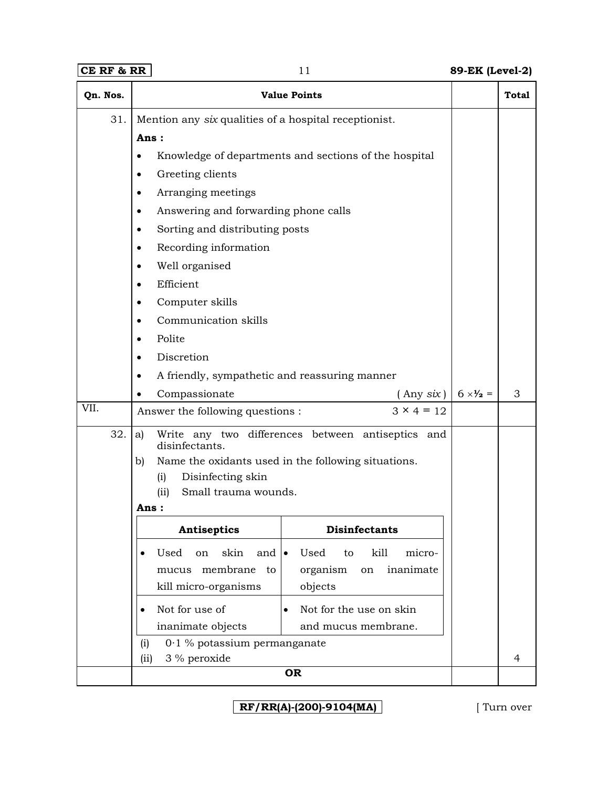# **CE RF & RR** 11 **89-EK (Level-2)**

| Qn. Nos. | <b>Value Points</b>                                                                          | <b>Total</b> |
|----------|----------------------------------------------------------------------------------------------|--------------|
| 31.      | Mention any six qualities of a hospital receptionist.                                        |              |
|          | Ans:                                                                                         |              |
|          | Knowledge of departments and sections of the hospital<br>٠                                   |              |
|          | Greeting clients<br>٠                                                                        |              |
|          | Arranging meetings                                                                           |              |
|          | Answering and forwarding phone calls                                                         |              |
|          | Sorting and distributing posts<br>٠                                                          |              |
|          | Recording information<br>$\bullet$                                                           |              |
|          | Well organised                                                                               |              |
|          | Efficient                                                                                    |              |
|          | Computer skills                                                                              |              |
|          | Communication skills                                                                         |              |
|          | Polite                                                                                       |              |
|          | Discretion                                                                                   |              |
|          | A friendly, sympathetic and reassuring manner                                                |              |
|          | Compassionate<br>$($ Any $six)$<br>$6 \times \frac{1}{2} =$                                  | 3            |
| VII.     | $3 \times 4 = 12$<br>Answer the following questions :                                        |              |
| 32.      | Write any two differences between antiseptics and<br>a)<br>disinfectants.                    |              |
|          | b)<br>Name the oxidants used in the following situations.                                    |              |
|          | Disinfecting skin<br>(i)                                                                     |              |
|          | Small trauma wounds.<br>(ii)<br><b>Ans :</b>                                                 |              |
|          | <b>Disinfectants</b><br><b>Antiseptics</b>                                                   |              |
|          | skin<br>Used<br>kill<br>micro-<br>Used<br>on<br>and $\vert \bullet \vert$<br>to<br>$\bullet$ |              |
|          | mucus membrane<br>organism<br>inanimate<br>to<br>on                                          |              |
|          | kill micro-organisms<br>objects                                                              |              |
|          | Not for use of<br>Not for the use on skin<br>$\bullet$<br>$\bullet$                          |              |
|          | inanimate objects<br>and mucus membrane.                                                     |              |
|          | $0.1$ % potassium permanganate<br>(i)                                                        |              |
|          | 3 % peroxide<br>(ii)                                                                         | 4            |
|          | <b>OR</b>                                                                                    |              |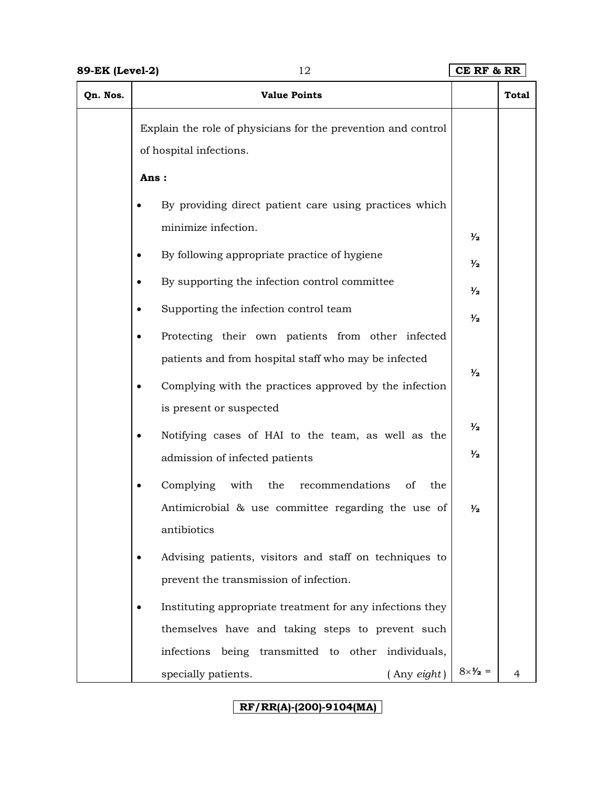| Qn. Nos. | <b>Value Points</b>                                                                      |                          | <b>Total</b> |
|----------|------------------------------------------------------------------------------------------|--------------------------|--------------|
|          | Explain the role of physicians for the prevention and control<br>of hospital infections. |                          |              |
|          | Ans:                                                                                     |                          |              |
|          | By providing direct patient care using practices which                                   |                          |              |
|          | minimize infection.                                                                      | $\frac{1}{2}$            |              |
|          | By following appropriate practice of hygiene                                             | $\frac{1}{2}$            |              |
|          | By supporting the infection control committee                                            | $\frac{1}{2}$            |              |
|          | Supporting the infection control team                                                    | $\frac{1}{2}$            |              |
|          | Protecting their own patients from other infected                                        |                          |              |
|          | patients and from hospital staff who may be infected                                     | $\frac{1}{2}$            |              |
|          | Complying with the practices approved by the infection                                   |                          |              |
|          | is present or suspected                                                                  | $\frac{1}{2}$            |              |
|          | Notifying cases of HAI to the team, as well as the                                       |                          |              |
|          | admission of infected patients                                                           | ⅓                        |              |
|          | Complying<br>with<br>the<br>recommendations<br>of<br>the                                 |                          |              |
|          | Antimicrobial & use committee regarding the use of                                       | ⅓                        |              |
|          | antibiotics                                                                              |                          |              |
|          | Advising patients, visitors and staff on techniques to                                   |                          |              |
|          | prevent the transmission of infection.                                                   |                          |              |
|          | Instituting appropriate treatment for any infections they                                |                          |              |
|          | themselves have and taking steps to prevent such                                         |                          |              |
|          | infections being transmitted to other individuals,                                       |                          |              |
|          | specially patients.<br>(Any eight)                                                       | $8 \times \frac{1}{2} =$ |              |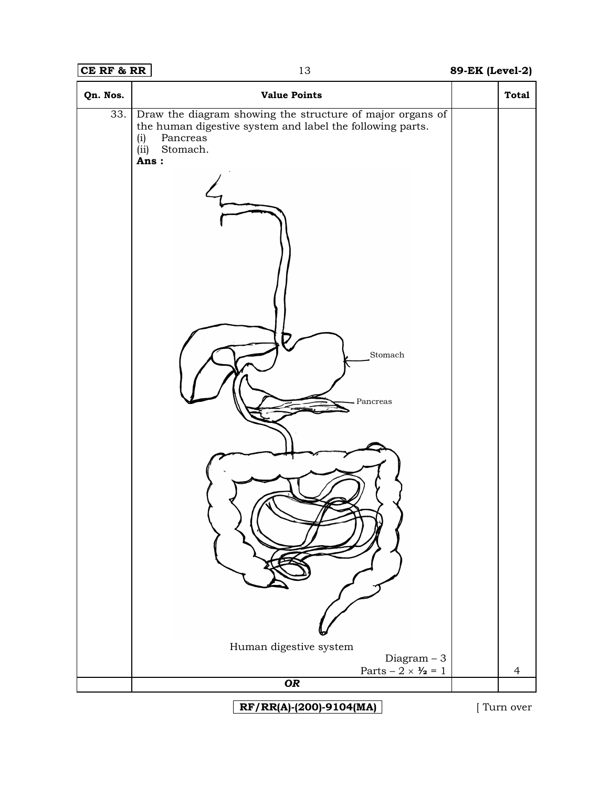# **CE RF & RR** 13 **89-EK (Level-2)**

| Qn. Nos. | <b>Value Points</b>                                                                                                                                                                               | <b>Total</b>   |
|----------|---------------------------------------------------------------------------------------------------------------------------------------------------------------------------------------------------|----------------|
| 33.      | Draw the diagram showing the structure of major organs of<br>the human digestive system and label the following parts.<br>Pancreas<br>(i)<br>Stomach.<br>(ii)<br>Ans:<br>T<br>Stomach<br>Pancreas |                |
|          | Human digestive system<br>$Diagram - 3$                                                                                                                                                           |                |
|          | Parts – $2 \times \frac{1}{2} = 1$<br>OR                                                                                                                                                          | $\overline{4}$ |
|          |                                                                                                                                                                                                   |                |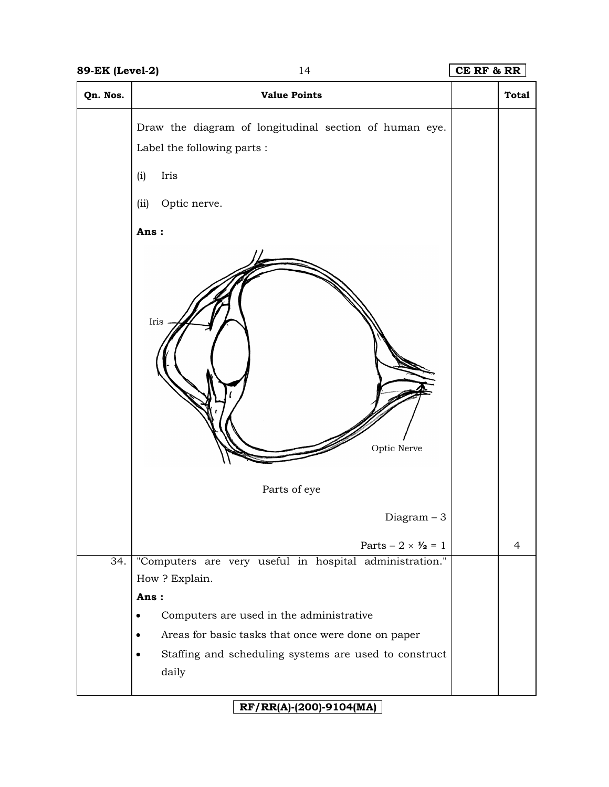| Qn. Nos.          | <b>Value Points</b>                                                                   | <b>Total</b> |
|-------------------|---------------------------------------------------------------------------------------|--------------|
|                   | Draw the diagram of longitudinal section of human eye.<br>Label the following parts : |              |
|                   | Iris<br>(i)                                                                           |              |
|                   | Optic nerve.<br>(ii)                                                                  |              |
|                   | Ans:                                                                                  |              |
|                   | Iris<br>Optic Nerve<br>Parts of eye                                                   |              |
|                   | Diagram $-3$                                                                          |              |
|                   | Parts $-2 \times \frac{1}{2} = 1$                                                     | 4            |
| $\overline{34}$ . | "Computers are very useful in hospital administration."                               |              |
|                   | How? Explain.<br>Ans:                                                                 |              |
|                   | Computers are used in the administrative                                              |              |
|                   | Areas for basic tasks that once were done on paper                                    |              |
|                   | Staffing and scheduling systems are used to construct                                 |              |
|                   | daily                                                                                 |              |